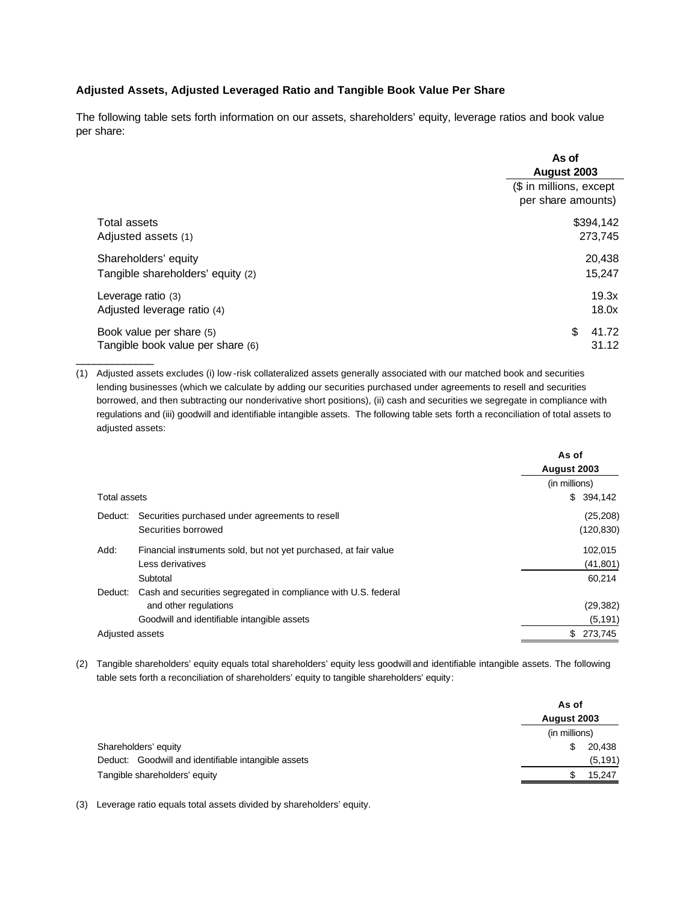## **Adjusted Assets, Adjusted Leveraged Ratio and Tangible Book Value Per Share**

The following table sets forth information on our assets, shareholders' equity, leverage ratios and book value per share:

|                                                               | As of<br>August 2003                          |
|---------------------------------------------------------------|-----------------------------------------------|
|                                                               | (\$ in millions, except<br>per share amounts) |
| <b>Total assets</b>                                           | \$394,142                                     |
| Adjusted assets (1)                                           | 273,745                                       |
| Shareholders' equity                                          | 20,438                                        |
| Tangible shareholders' equity (2)                             | 15,247                                        |
| Leverage ratio (3)                                            | 19.3x                                         |
| Adjusted leverage ratio (4)                                   | 18.0x                                         |
| Book value per share (5)<br>Tangible book value per share (6) | \$<br>41.72<br>31.12                          |

(1) Adjusted assets excludes (i) low -risk collateralized assets generally associated with our matched book and securities lending businesses (which we calculate by adding our securities purchased under agreements to resell and securities borrowed, and then subtracting our nonderivative short positions), (ii) cash and securities we segregate in compliance with regulations and (iii) goodwill and identifiable intangible assets. The following table sets forth a reconciliation of total assets to adjusted assets:

|                     |                                                                  | As of<br>August 2003 |  |
|---------------------|------------------------------------------------------------------|----------------------|--|
|                     |                                                                  | (in millions)        |  |
| <b>Total assets</b> |                                                                  | \$394,142            |  |
| Deduct:             | Securities purchased under agreements to resell                  | (25, 208)            |  |
|                     | Securities borrowed                                              | (120, 830)           |  |
| Add:                | Financial instruments sold, but not yet purchased, at fair value | 102,015              |  |
|                     | Less derivatives                                                 | (41, 801)            |  |
|                     | Subtotal                                                         | 60,214               |  |
| Deduct:             | Cash and securities segregated in compliance with U.S. federal   |                      |  |
|                     | and other regulations                                            | (29, 382)            |  |
|                     | Goodwill and identifiable intangible assets                      | (5, 191)             |  |
| Adjusted assets     |                                                                  | \$ 273,745           |  |

(2) Tangible shareholders' equity equals total shareholders' equity less goodwill and identifiable intangible assets. The following table sets forth a reconciliation of shareholders' equity to tangible shareholders' equity:

|                                                     | As of<br>August 2003 |          |
|-----------------------------------------------------|----------------------|----------|
|                                                     |                      |          |
|                                                     | (in millions)        |          |
| Shareholders' equity                                | S                    | 20,438   |
| Deduct: Goodwill and identifiable intangible assets |                      | (5, 191) |
| Tangible shareholders' equity                       |                      | 15,247   |

(3) Leverage ratio equals total assets divided by shareholders' equity.